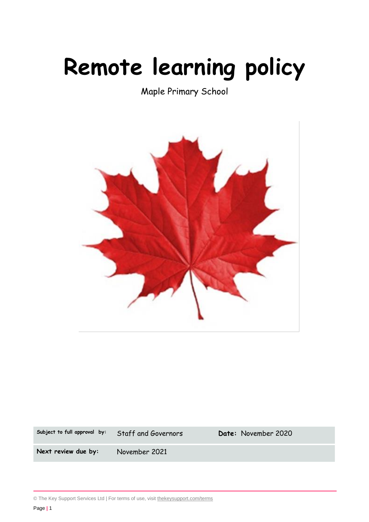# **Remote learning policy**

Maple Primary School



**Subject to full approval by:** Staff and Governors **Date:** November 2020

**Next review due by:** November 2021

© The Key Support Services Ltd | For terms of use, visit [thekeysupport.com/terms](https://thekeysupport.com/terms-of-use)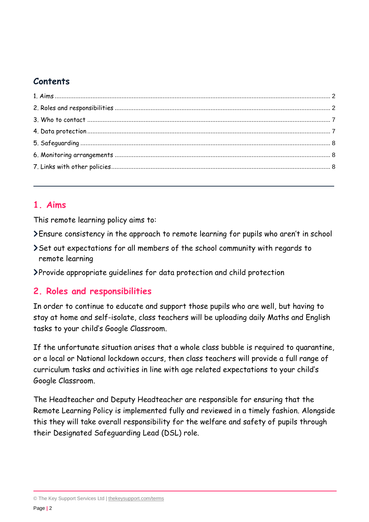# **Contents**

## <span id="page-1-0"></span>**1. Aims**

This remote learning policy aims to:

Ensure consistency in the approach to remote learning for pupils who aren't in school

Set out expectations for all members of the school community with regards to remote learning

Provide appropriate guidelines for data protection and child protection

# <span id="page-1-1"></span>**2. Roles and responsibilities**

In order to continue to educate and support those pupils who are well, but having to stay at home and self-isolate, class teachers will be uploading daily Maths and English tasks to your child's Google Classroom.

If the unfortunate situation arises that a whole class bubble is required to quarantine, or a local or National lockdown occurs, then class teachers will provide a full range of curriculum tasks and activities in line with age related expectations to your child's Google Classroom.

The Headteacher and Deputy Headteacher are responsible for ensuring that the Remote Learning Policy is implemented fully and reviewed in a timely fashion. Alongside this they will take overall responsibility for the welfare and safety of pupils through their Designated Safeguarding Lead (DSL) role.

© The Key Support Services Ltd | [thekeysupport.com/terms](https://thekeysupport.com/terms-of-use)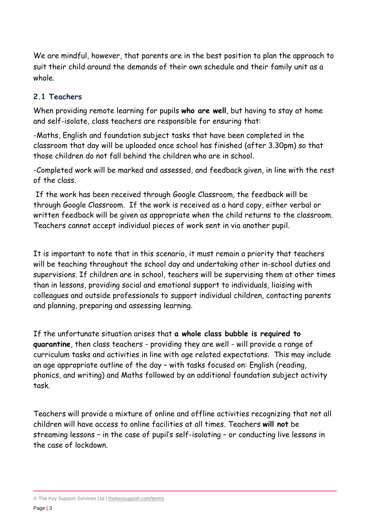We are mindful, however, that parents are in the best position to plan the approach to suit their child around the demands of their own schedule and their family unit as a whole.

#### **2.1 Teachers**

When providing remote learning for pupils **who are well**, but having to stay at home and self-isolate, class teachers are responsible for ensuring that:

-Maths, English and foundation subject tasks that have been completed in the classroom that day will be uploaded once school has finished (after 3.30pm) so that those children do not fall behind the children who are in school.

-Completed work will be marked and assessed, and feedback given, in line with the rest of the class.

If the work has been received through Google Classroom, the feedback will be through Google Classroom. If the work is received as a hard copy, either verbal or written feedback will be given as appropriate when the child returns to the classroom. Teachers cannot accept individual pieces of work sent in via another pupil.

It is important to note that in this scenario, it must remain a priority that teachers will be teaching throughout the school day and undertaking other in-school duties and supervisions. If children are in school, teachers will be supervising them at other times than in lessons, providing social and emotional support to individuals, liaising with colleagues and outside professionals to support individual children, contacting parents and planning, preparing and assessing learning.

If the unfortunate situation arises that **a whole class bubble is required to quarantine**, then class teachers - providing they are well - will provide a range of curriculum tasks and activities in line with age related expectations. This may include an age appropriate outline of the day – with tasks focused on: English (reading, phonics, and writing) and Maths followed by an additional foundation subject activity task.

Teachers will provide a mixture of online and offline activities recognizing that not all children will have access to online facilities at all times. Teachers **will not** be streaming lessons – in the case of pupil's self-isolating – or conducting live lessons in the case of lockdown.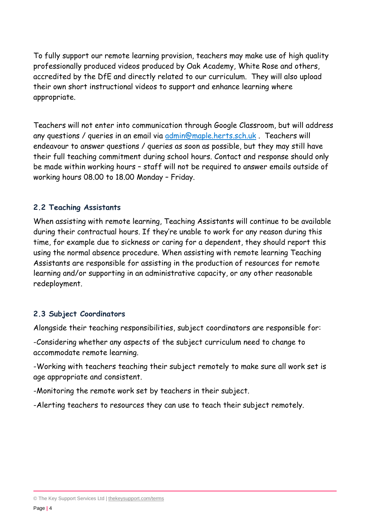To fully support our remote learning provision, teachers may make use of high quality professionally produced videos produced by Oak Academy, White Rose and others, accredited by the DfE and directly related to our curriculum. They will also upload their own short instructional videos to support and enhance learning where appropriate.

Teachers will not enter into communication through Google Classroom, but will address any questions / queries in an email via [admin@maple.herts.sch.uk](mailto:admin@maple.herts.sch.uk) . Teachers will endeavour to answer questions / queries as soon as possible, but they may still have their full teaching commitment during school hours. Contact and response should only be made within working hours – staff will not be required to answer emails outside of working hours 08.00 to 18.00 Monday – Friday.

#### **2.2 Teaching Assistants**

When assisting with remote learning, Teaching Assistants will continue to be available during their contractual hours. If they're unable to work for any reason during this time, for example due to sickness or caring for a dependent, they should report this using the normal absence procedure. When assisting with remote learning Teaching Assistants are responsible for assisting in the production of resources for remote learning and/or supporting in an administrative capacity, or any other reasonable redeployment.

#### **2.3 Subject Coordinators**

Alongside their teaching responsibilities, subject coordinators are responsible for:

-Considering whether any aspects of the subject curriculum need to change to accommodate remote learning.

-Working with teachers teaching their subject remotely to make sure all work set is age appropriate and consistent.

-Monitoring the remote work set by teachers in their subject.

-Alerting teachers to resources they can use to teach their subject remotely.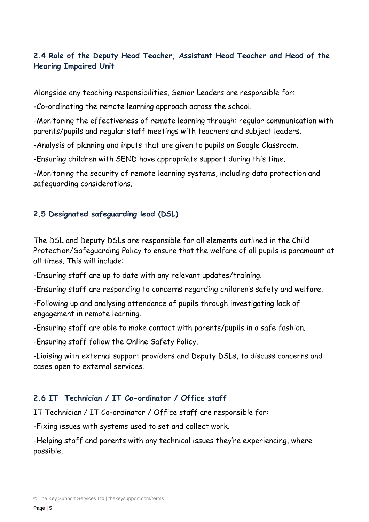#### **2.4 Role of the Deputy Head Teacher, Assistant Head Teacher and Head of the Hearing Impaired Unit**

Alongside any teaching responsibilities, Senior Leaders are responsible for:

-Co-ordinating the remote learning approach across the school.

-Monitoring the effectiveness of remote learning through: regular communication with parents/pupils and regular staff meetings with teachers and subject leaders.

-Analysis of planning and inputs that are given to pupils on Google Classroom.

-Ensuring children with SEND have appropriate support during this time.

-Monitoring the security of remote learning systems, including data protection and safeguarding considerations.

#### **2.5 Designated safeguarding lead (DSL)**

The DSL and Deputy DSLs are responsible for all elements outlined in the Child Protection/Safeguarding Policy to ensure that the welfare of all pupils is paramount at all times. This will include:

-Ensuring staff are up to date with any relevant updates/training.

-Ensuring staff are responding to concerns regarding children's safety and welfare.

-Following up and analysing attendance of pupils through investigating lack of engagement in remote learning.

-Ensuring staff are able to make contact with parents/pupils in a safe fashion.

-Ensuring staff follow the Online Safety Policy.

-Liaising with external support providers and Deputy DSLs, to discuss concerns and cases open to external services.

#### **2.6 IT Technician / IT Co-ordinator / Office staff**

IT Technician / IT Co-ordinator / Office staff are responsible for:

-Fixing issues with systems used to set and collect work.

-Helping staff and parents with any technical issues they're experiencing, where possible.

<sup>©</sup> The Key Support Services Ltd | [thekeysupport.com/terms](https://thekeysupport.com/terms-of-use)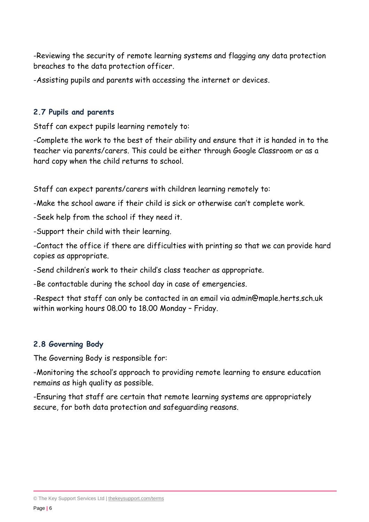-Reviewing the security of remote learning systems and flagging any data protection breaches to the data protection officer.

-Assisting pupils and parents with accessing the internet or devices.

#### **2.7 Pupils and parents**

Staff can expect pupils learning remotely to:

-Complete the work to the best of their ability and ensure that it is handed in to the teacher via parents/carers. This could be either through Google Classroom or as a hard copy when the child returns to school.

Staff can expect parents/carers with children learning remotely to:

-Make the school aware if their child is sick or otherwise can't complete work.

-Seek help from the school if they need it.

-Support their child with their learning.

-Contact the office if there are difficulties with printing so that we can provide hard copies as appropriate.

-Send children's work to their child's class teacher as appropriate.

-Be contactable during the school day in case of emergencies.

-Respect that staff can only be contacted in an email via admin@maple.herts.sch.uk within working hours 08.00 to 18.00 Monday – Friday.

#### **2.8 Governing Body**

The Governing Body is responsible for:

-Monitoring the school's approach to providing remote learning to ensure education remains as high quality as possible.

-Ensuring that staff are certain that remote learning systems are appropriately secure, for both data protection and safeguarding reasons.

<sup>©</sup> The Key Support Services Ltd | [thekeysupport.com/terms](https://thekeysupport.com/terms-of-use)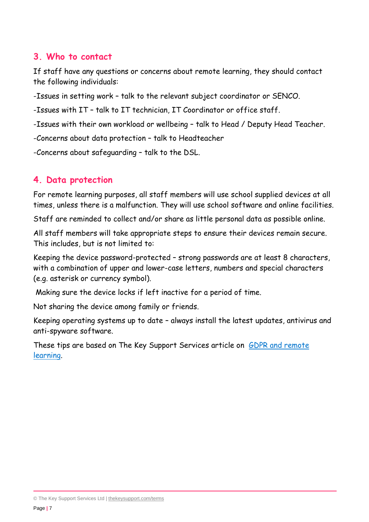## <span id="page-6-0"></span>**3. Who to contact**

If staff have any questions or concerns about remote learning, they should contact the following individuals:

-Issues in setting work – talk to the relevant subject coordinator or SENCO.

-Issues with IT – talk to IT technician, IT Coordinator or office staff.

-Issues with their own workload or wellbeing – talk to Head / Deputy Head Teacher.

-Concerns about data protection – talk to Headteacher

-Concerns about safeguarding – talk to the DSL.

## <span id="page-6-1"></span>**4. Data protection**

For remote learning purposes, all staff members will use school supplied devices at all times, unless there is a malfunction. They will use school software and online facilities.

Staff are reminded to collect and/or share as little personal data as possible online.

All staff members will take appropriate steps to ensure their devices remain secure. This includes, but is not limited to:

Keeping the device password-protected – strong passwords are at least 8 characters, with a combination of upper and lower-case letters, numbers and special characters (e.g. asterisk or currency symbol).

Making sure the device locks if left inactive for a period of time.

Not sharing the device among family or friends.

Keeping operating systems up to date – always install the latest updates, antivirus and anti-spyware software.

These tips are based on The Key Support Services article on [GDPR and remote](https://schoolleaders.thekeysupport.com/uid/a4f9d627-575d-45f5-9367-040b246c213c/)  [learning.](https://schoolleaders.thekeysupport.com/uid/a4f9d627-575d-45f5-9367-040b246c213c/)